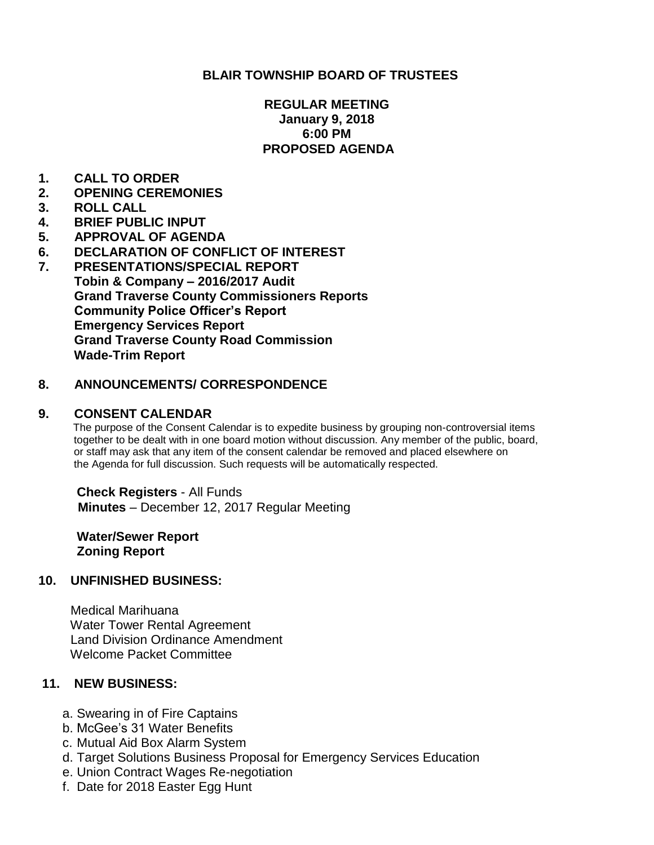## **BLAIR TOWNSHIP BOARD OF TRUSTEES**

### **REGULAR MEETING January 9, 2018 6:00 PM PROPOSED AGENDA**

- **1. CALL TO ORDER**
- **2. OPENING CEREMONIES**
- **3. ROLL CALL**
- **4. BRIEF PUBLIC INPUT**
- **5. APPROVAL OF AGENDA**
- **6. DECLARATION OF CONFLICT OF INTEREST**
- **7. PRESENTATIONS/SPECIAL REPORT Tobin & Company – 2016/2017 Audit Grand Traverse County Commissioners Reports Community Police Officer's Report Emergency Services Report Grand Traverse County Road Commission Wade-Trim Report**

### **8. ANNOUNCEMENTS/ CORRESPONDENCE**

#### **9. CONSENT CALENDAR**

 The purpose of the Consent Calendar is to expedite business by grouping non-controversial items together to be dealt with in one board motion without discussion. Any member of the public, board, or staff may ask that any item of the consent calendar be removed and placed elsewhere on the Agenda for full discussion. Such requests will be automatically respected.

 **Check Registers** - All Funds **Minutes** – December 12, 2017 Regular Meeting

**Water/Sewer Report Zoning Report**

### **10. UNFINISHED BUSINESS:**

 Medical Marihuana Water Tower Rental Agreement Land Division Ordinance Amendment Welcome Packet Committee

### **11. NEW BUSINESS:**

- a. Swearing in of Fire Captains
- b. McGee's 31 Water Benefits
- c. Mutual Aid Box Alarm System
- d. Target Solutions Business Proposal for Emergency Services Education
- e. Union Contract Wages Re-negotiation
- f. Date for 2018 Easter Egg Hunt